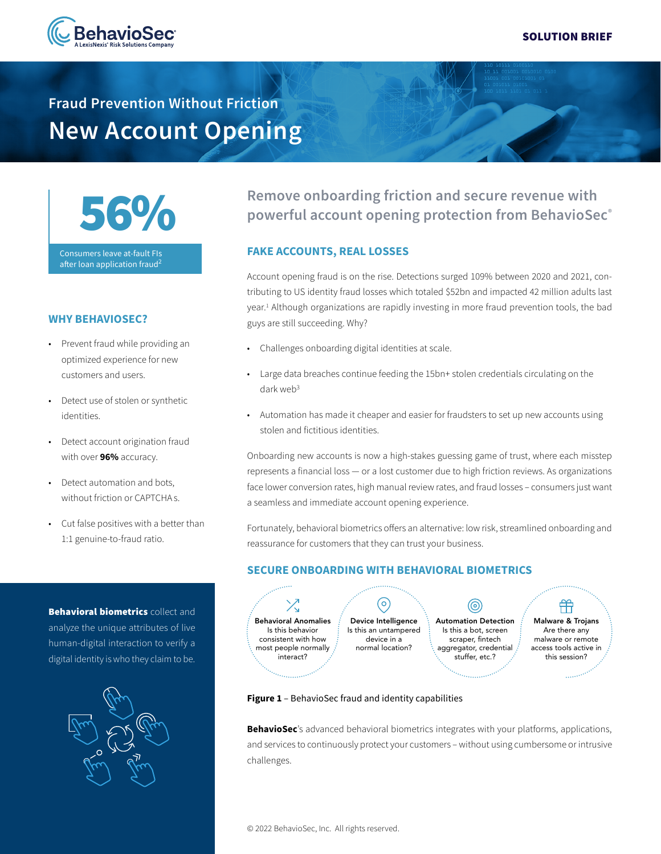

# **Fraud Prevention Without Friction New Account Opening**



Consumers leave at-fault FIs after loan application fraud<sup>2</sup>

#### **WHY BEHAVIOSEC?**

- Prevent fraud while providing an optimized experience for new customers and users.
- Detect use of stolen or synthetic identities.
- Detect account origination fraud with over **96%** accuracy.
- Detect automation and bots, without friction or CAPTCHA s.
- Cut false positives with a better than 1:1 genuine-to-fraud ratio.

**Behavioral biometrics collect and** analyze the unique attributes of live human-digital interaction to verify a digital identity is who they claim to be.



## **Remove onboarding friction and secure revenue with powerful account opening protection from BehavioSec®**

### **FAKE ACCOUNTS, REAL LOSSES**

Account opening fraud is on the rise. Detections surged 109% between 2020 and 2021, contributing to US identity fraud losses which totaled \$52bn and impacted 42 million adults last year.1 Although organizations are rapidly investing in more fraud prevention tools, the bad guys are still succeeding. Why?

- Challenges onboarding digital identities at scale.
- Large data breaches continue feeding the 15bn+ stolen credentials circulating on the dark web<sup>3</sup>
- Automation has made it cheaper and easier for fraudsters to set up new accounts using stolen and fictitious identities.

Onboarding new accounts is now a high-stakes guessing game of trust, where each misstep represents a financial loss — or a lost customer due to high friction reviews. As organizations face lower conversion rates, high manual review rates, and fraud losses – consumers just want a seamless and immediate account opening experience.

Fortunately, behavioral biometrics offers an alternative: low risk, streamlined onboarding and reassurance for customers that they can trust your business.

### **SECURE ONBOARDING WITH BEHAVIORAL BIOMETRICS**

(ဝ)

 $\chi$ Behavioral Anomalies Is this behavior consistent with how most people normally interact?

Device Intelligence Is this an untampered device in a normal location?

Automation Detection Is this a bot, screen scraper, fintech aggregator, credential stuffer, etc.?

(©)

ਜਿੰ Malware & Trojans Are there any malware or remote access tools active in this session?

#### **Figure 1** – BehavioSec fraud and identity capabilities

**BehavioSec**'s advanced behavioral biometrics integrates with your platforms, applications, and services to continuously protect your customers – without using cumbersome or intrusive challenges.